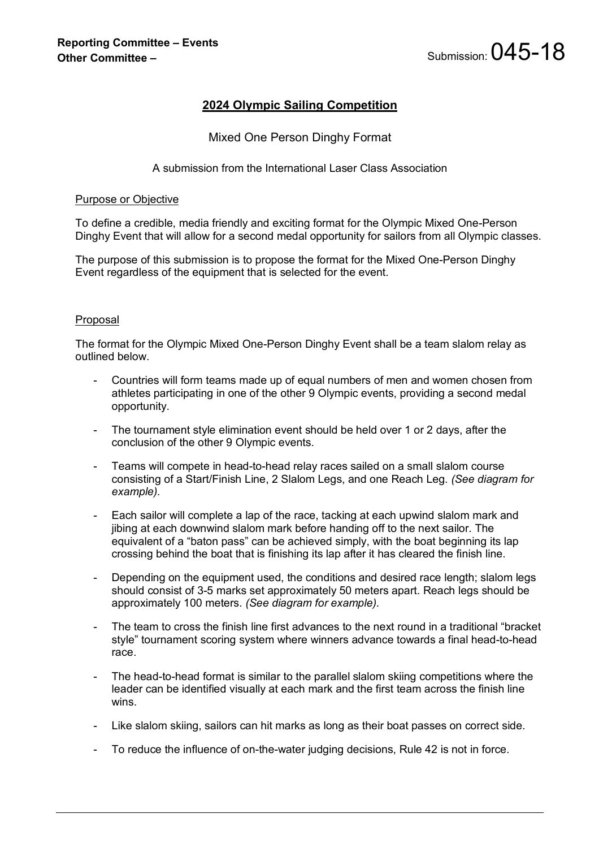# **2024 Olympic Sailing Competition**

## Mixed One Person Dinghy Format

## A submission from the International Laser Class Association

#### Purpose or Objective

To define a credible, media friendly and exciting format for the Olympic Mixed One-Person Dinghy Event that will allow for a second medal opportunity for sailors from all Olympic classes.

The purpose of this submission is to propose the format for the Mixed One-Person Dinghy Event regardless of the equipment that is selected for the event.

### Proposal

The format for the Olympic Mixed One-Person Dinghy Event shall be a team slalom relay as outlined below.

- Countries will form teams made up of equal numbers of men and women chosen from athletes participating in one of the other 9 Olympic events, providing a second medal opportunity.
- The tournament style elimination event should be held over 1 or 2 days, after the conclusion of the other 9 Olympic events.
- Teams will compete in head-to-head relay races sailed on a small slalom course consisting of a Start/Finish Line, 2 Slalom Legs, and one Reach Leg. *(See diagram for example).*
- Each sailor will complete a lap of the race, tacking at each upwind slalom mark and jibing at each downwind slalom mark before handing off to the next sailor. The equivalent of a "baton pass" can be achieved simply, with the boat beginning its lap crossing behind the boat that is finishing its lap after it has cleared the finish line.
- Depending on the equipment used, the conditions and desired race length; slalom legs should consist of 3-5 marks set approximately 50 meters apart. Reach legs should be approximately 100 meters. *(See diagram for example).*
- The team to cross the finish line first advances to the next round in a traditional "bracket" style" tournament scoring system where winners advance towards a final head-to-head race.
- The head-to-head format is similar to the parallel slalom skiing competitions where the leader can be identified visually at each mark and the first team across the finish line wins.
- Like slalom skiing, sailors can hit marks as long as their boat passes on correct side.
- To reduce the influence of on-the-water judging decisions, Rule 42 is not in force.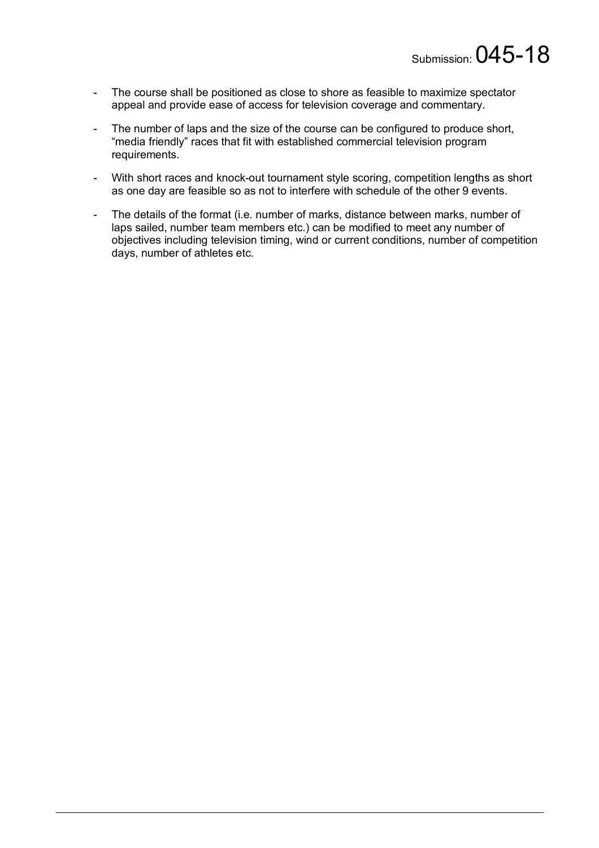- The course shall be positioned as close to shore as feasible to maximize spectator appeal and provide ease of access for television coverage and commentary.
- The number of laps and the size of the course can be configured to produce short, "media friendly" races that fit with established commercial television program requirements.
- With short races and knock-out tournament style scoring, competition lengths as short as one day are feasible so as not to interfere with schedule of the other 9 events.
- The details of the format (i.e. number of marks, distance between marks, number of laps sailed, number team members etc.) can be modified to meet any number of objectives including television timing, wind or current conditions, number of competition days, number of athletes etc.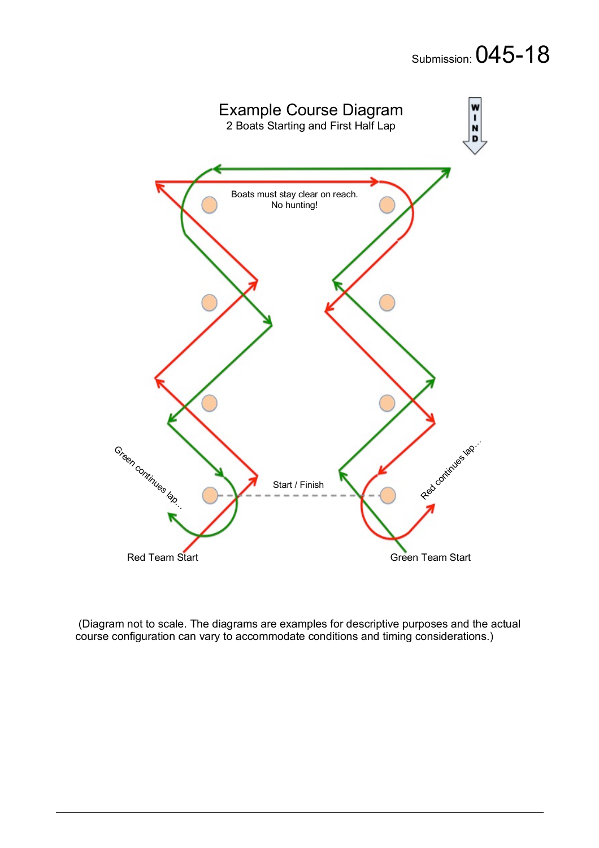

(Diagram not to scale. The diagrams are examples for descriptive purposes and the actual course configuration can vary to accommodate conditions and timing considerations.)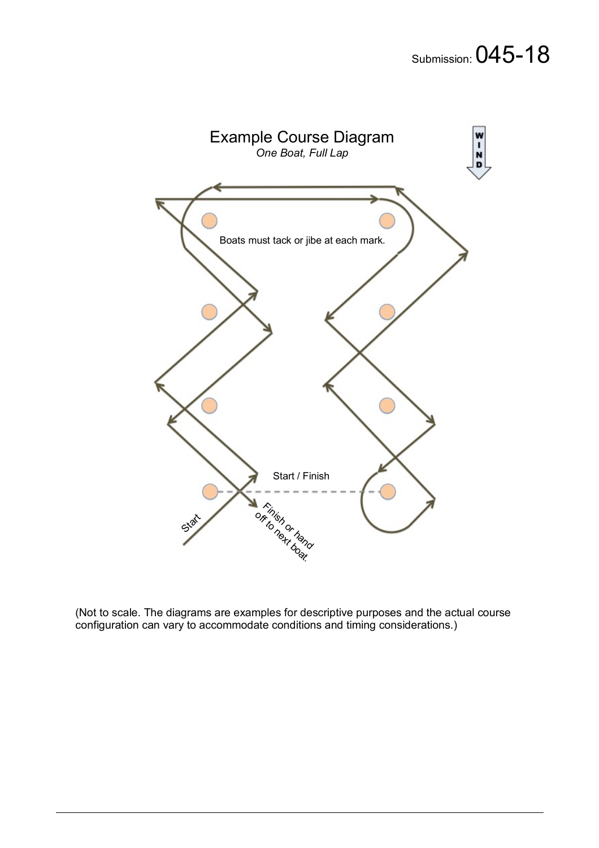![](_page_3_Figure_1.jpeg)

(Not to scale. The diagrams are examples for descriptive purposes and the actual course configuration can vary to accommodate conditions and timing considerations.)